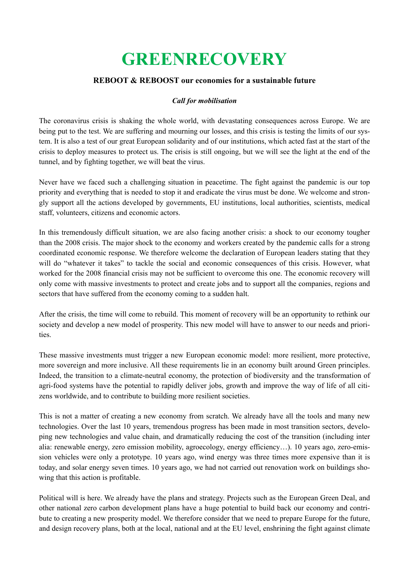# **GREENRECOVERY**

### **REBOOT & REBOOST our economies for a sustainable future**

#### *Call for mobilisation*

The coronavirus crisis is shaking the whole world, with devastating consequences across Europe. We are being put to the test. We are suffering and mourning our losses, and this crisis is testing the limits of our system. It is also a test of our great European solidarity and of our institutions, which acted fast at the start of the crisis to deploy measures to protect us. The crisis is still ongoing, but we will see the light at the end of the tunnel, and by fighting together, we will beat the virus.

Never have we faced such a challenging situation in peacetime. The fight against the pandemic is our top priority and everything that is needed to stop it and eradicate the virus must be done. We welcome and strongly support all the actions developed by governments, EU institutions, local authorities, scientists, medical staff, volunteers, citizens and economic actors.

In this tremendously difficult situation, we are also facing another crisis: a shock to our economy tougher than the 2008 crisis. The major shock to the economy and workers created by the pandemic calls for a strong coordinated economic response. We therefore welcome the declaration of European leaders stating that they will do "whatever it takes" to tackle the social and economic consequences of this crisis. However, what worked for the 2008 financial crisis may not be sufficient to overcome this one. The economic recovery will only come with massive investments to protect and create jobs and to support all the companies, regions and sectors that have suffered from the economy coming to a sudden halt.

After the crisis, the time will come to rebuild. This moment of recovery will be an opportunity to rethink our society and develop a new model of prosperity. This new model will have to answer to our needs and priorities.

These massive investments must trigger a new European economic model: more resilient, more protective, more sovereign and more inclusive. All these requirements lie in an economy built around Green principles. Indeed, the transition to a climate-neutral economy, the protection of biodiversity and the transformation of agri-food systems have the potential to rapidly deliver jobs, growth and improve the way of life of all citizens worldwide, and to contribute to building more resilient societies.

This is not a matter of creating a new economy from scratch. We already have all the tools and many new technologies. Over the last 10 years, tremendous progress has been made in most transition sectors, developing new technologies and value chain, and dramatically reducing the cost of the transition (including inter alia: renewable energy, zero emission mobility, agroecology, energy efficiency…). 10 years ago, zero-emission vehicles were only a prototype. 10 years ago, wind energy was three times more expensive than it is today, and solar energy seven times. 10 years ago, we had not carried out renovation work on buildings showing that this action is profitable.

Political will is here. We already have the plans and strategy. Projects such as the European Green Deal, and other national zero carbon development plans have a huge potential to build back our economy and contribute to creating a new prosperity model. We therefore consider that we need to prepare Europe for the future, and design recovery plans, both at the local, national and at the EU level, enshrining the fight against climate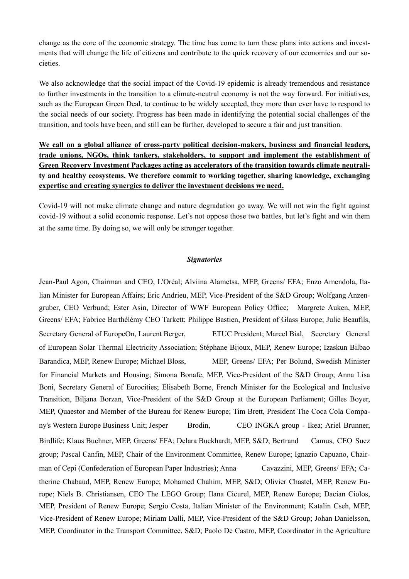change as the core of the economic strategy. The time has come to turn these plans into actions and investments that will change the life of citizens and contribute to the quick recovery of our economies and our societies.

We also acknowledge that the social impact of the Covid-19 epidemic is already tremendous and resistance to further investments in the transition to a climate-neutral economy is not the way forward. For initiatives, such as the European Green Deal, to continue to be widely accepted, they more than ever have to respond to the social needs of our society. Progress has been made in identifying the potential social challenges of the transition, and tools have been, and still can be further, developed to secure a fair and just transition.

## **We call on a global alliance of cross-party political decision-makers, business and financial leaders, trade unions, NGOs, think tankers, stakeholders, to support and implement the establishment of Green Recovery Investment Packages acting as accelerators of the transition towards climate neutrality and healthy ecosystems. We therefore commit to working together, sharing knowledge, exchanging expertise and creating synergies to deliver the investment decisions we need.**

Covid-19 will not make climate change and nature degradation go away. We will not win the fight against covid-19 without a solid economic response. Let's not oppose those two battles, but let's fight and win them at the same time. By doing so, we will only be stronger together.

#### *Signatories*

Jean-Paul Agon, Chairman and CEO, L'Oréal; Alviina Alametsa, MEP, Greens/ EFA; Enzo Amendola, Italian Minister for European Affairs; Eric Andrieu, MEP, Vice-President of the S&D Group; Wolfgang Anzengruber, CEO Verbund; Ester Asin, Director of WWF European Policy Office; Margrete Auken, MEP, Greens/ EFA; Fabrice Barthélémy CEO Tarkett; Philippe Bastien, President of Glass Europe; Julie Beaufils, Secretary General of EuropeOn, Laurent Berger, ETUC President; Marcel Bial, Secretary General of European Solar Thermal Electricity Association; Stéphane Bijoux, MEP, Renew Europe; Izaskun Bilbao Barandica, MEP, Renew Europe; Michael Bloss, MEP, Greens/ EFA; Per Bolund, Swedish Minister for Financial Markets and Housing; Simona Bonafe, MEP, Vice-President of the S&D Group; Anna Lisa Boni, Secretary General of Eurocities; Elisabeth Borne, French Minister for the Ecological and Inclusive Transition, Biljana Borzan, Vice-President of the S&D Group at the European Parliament; Gilles Boyer, MEP, Quaestor and Member of the Bureau for Renew Europe; Tim Brett, President The Coca Cola Company's Western Europe Business Unit; Jesper Brodin, CEO INGKA group - Ikea; Ariel Brunner, Birdlife; Klaus Buchner, MEP, Greens/ EFA; Delara Buckhardt, MEP, S&D; Bertrand Camus, CEO Suez group; Pascal Canfin, MEP, Chair of the Environment Committee, Renew Europe; Ignazio Capuano, Chairman of Cepi (Confederation of European Paper Industries); Anna Cavazzini, MEP, Greens/ EFA; Catherine Chabaud, MEP, Renew Europe; Mohamed Chahim, MEP, S&D; Olivier Chastel, MEP, Renew Europe; Niels B. Christiansen, CEO The LEGO Group; Ilana Cicurel, MEP, Renew Europe; Dacian Ciolos, MEP, President of Renew Europe; Sergio Costa, Italian Minister of the Environment; Katalin Cseh, MEP, Vice-President of Renew Europe; Miriam Dalli, MEP, Vice-President of the S&D Group; Johan Danielsson, MEP, Coordinator in the Transport Committee, S&D; Paolo De Castro, MEP, Coordinator in the Agriculture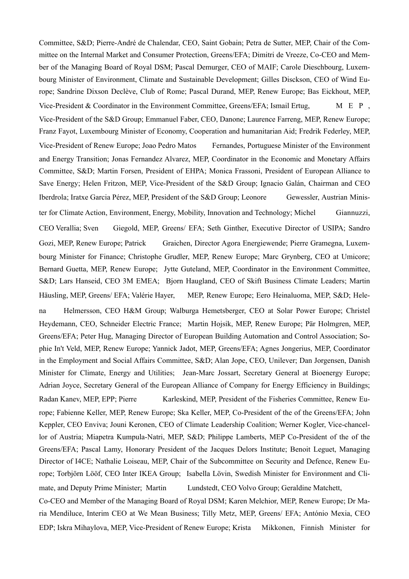Committee, S&D; Pierre-André de Chalendar, CEO, Saint Gobain; Petra de Sutter, MEP, Chair of the Committee on the Internal Market and Consumer Protection, Greens/EFA; Dimitri de Vreeze, Co-CEO and Member of the Managing Board of Royal DSM; Pascal Demurger, CEO of MAIF; Carole Dieschbourg, Luxembourg Minister of Environment, Climate and Sustainable Development; Gilles Disckson, CEO of Wind Europe; Sandrine Dixson Declève, Club of Rome; Pascal Durand, MEP, Renew Europe; Bas Eickhout, MEP, Vice-President  $\&$  Coordinator in the Environment Committee, Greens/EFA; Ismail Ertug,  $M \& P$ , Vice-President of the S&D Group; Emmanuel Faber, CEO, Danone; Laurence Farreng, MEP, Renew Europe; Franz Fayot, Luxembourg Minister of Economy, Cooperation and humanitarian Aid; Fredrik Federley, MEP, Vice-President of Renew Europe; Joao Pedro Matos Fernandes, Portuguese Minister of the Environment and Energy Transition; Jonas Fernandez Alvarez, MEP, Coordinator in the Economic and Monetary Affairs Committee, S&D; Martin Forsen, President of EHPA; Monica Frassoni, President of European Alliance to Save Energy; Helen Fritzon, MEP, Vice-President of the S&D Group; Ignacio Galán, Chairman and CEO Iberdrola; Iratxe Garcia Pérez, MEP, President of the S&D Group; Leonore Gewessler, Austrian Minister for Climate Action, Environment, Energy, Mobility, Innovation and Technology; Michel Giannuzzi, CEO Verallia; Sven Giegold, MEP, Greens/ EFA; Seth Ginther, Executive Director of USIPA; Sandro Gozi, MEP, Renew Europe; Patrick Graichen, Director Agora Energiewende; Pierre Gramegna, Luxembourg Minister for Finance; Christophe Grudler, MEP, Renew Europe; Marc Grynberg, CEO at Umicore; Bernard Guetta, MEP, Renew Europe; Jytte Guteland, MEP, Coordinator in the Environment Committee, S&D; Lars Hanseid, CEO 3M EMEA; Bjorn Haugland, CEO of Skift Business Climate Leaders; Martin Häusling, MEP, Greens/ EFA; Valérie Hayer, MEP, Renew Europe; Eero Heinaluoma, MEP, S&D; Helena Helmersson, CEO H&M Group; Walburga Hemetsberger, CEO at Solar Power Europe; Christel Heydemann, CEO, Schneider Electric France; Martin Hojsik, MEP, Renew Europe; Pär Holmgren, MEP, Greens/EFA; Peter Hug, Managing Director of European Building Automation and Control Association; Sophie In't Veld, MEP, Renew Europe; Yannick Jadot, MEP, Greens/EFA; Agnes Jongerius, MEP, Coordinator in the Employment and Social Affairs Committee, S&D; Alan Jope, CEO, Unilever; Dan Jorgensen, Danish Minister for Climate, Energy and Utilities; Jean-Marc Jossart, Secretary General at Bioenergy Europe; Adrian Joyce, Secretary General of the European Alliance of Company for Energy Efficiency in Buildings; Radan Kanev, MEP, EPP; Pierre Karleskind, MEP, President of the Fisheries Committee, Renew Europe; Fabienne Keller, MEP, Renew Europe; Ska Keller, MEP, Co-President of the of the Greens/EFA; John Keppler, CEO Enviva; Jouni Keronen, CEO of Climate Leadership Coalition; Werner Kogler, Vice-chancellor of Austria; Miapetra Kumpula-Natri, MEP, S&D; Philippe Lamberts, MEP Co-President of the of the Greens/EFA; Pascal Lamy, Honorary President of the Jacques Delors Institute; Benoit Leguet, Managing Director of I4CE; Nathalie Loiseau, MEP, Chair of the Subcommittee on Security and Defence, Renew Europe; Torbjörn Lööf, CEO Inter IKEA Group; Isabella Lövin, Swedish Minister for Environment and Climate, and Deputy Prime Minister; Martin Lundstedt, CEO Volvo Group; Geraldine Matchett, Co-CEO and Member of the Managing Board of Royal DSM; Karen Melchior, MEP, Renew Europe; Dr Ma-

ria Mendiluce, Interim CEO at We Mean Business; Tilly Metz, MEP, Greens/ EFA; António Mexia, CEO EDP; Iskra Mihaylova, MEP, Vice-President of Renew Europe; Krista Mikkonen, Finnish Minister for